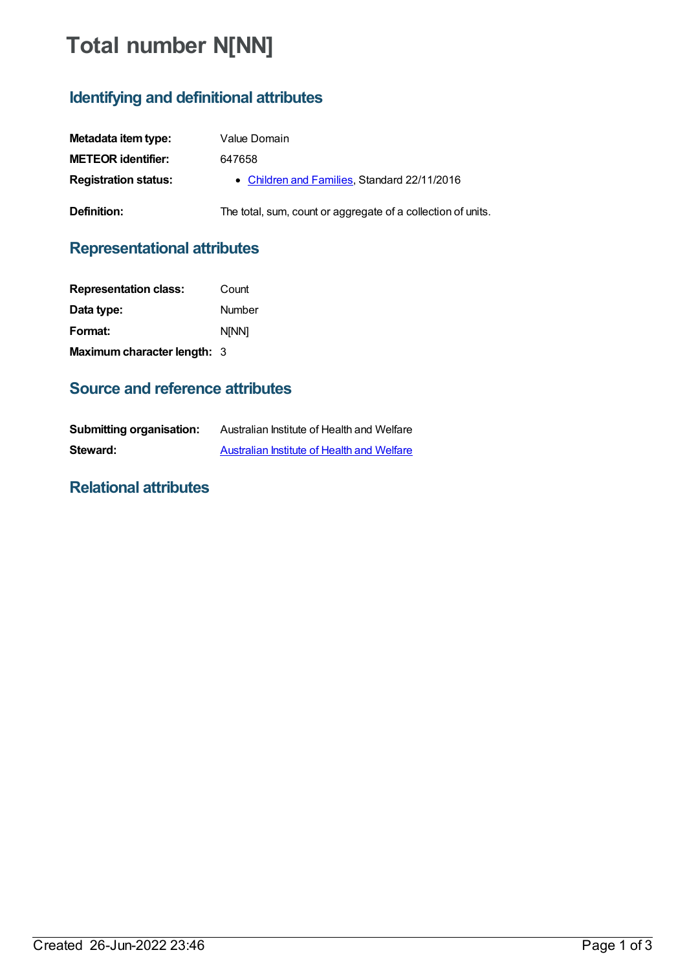# **Total number N[NN]**

## **Identifying and definitional attributes**

| Metadata item type:         | Value Domain                                                 |
|-----------------------------|--------------------------------------------------------------|
| <b>METEOR identifier:</b>   | 647658                                                       |
| <b>Registration status:</b> | • Children and Families, Standard 22/11/2016                 |
| Definition:                 | The total, sum, count or aggregate of a collection of units. |

### **Representational attributes**

| <b>Representation class:</b> | Count  |
|------------------------------|--------|
| Data type:                   | Number |
| Format:                      | N[NN]  |
| Maximum character length: 3  |        |

#### **Source and reference attributes**

| <b>Submitting organisation:</b> | Australian Institute of Health and Welfare |
|---------------------------------|--------------------------------------------|
| Steward:                        | Australian Institute of Health and Welfare |

#### **Relational attributes**